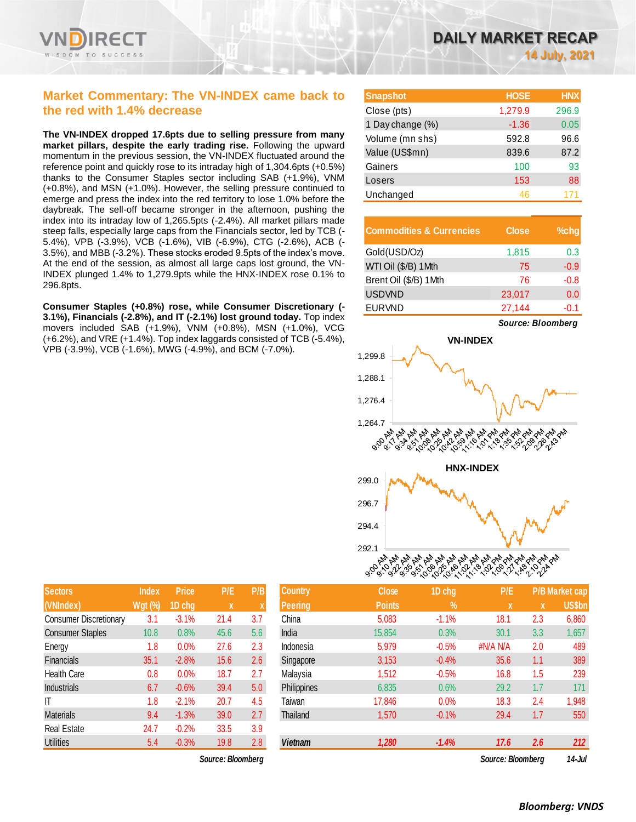## **Market Commentary: The VN-INDEX came back to the red with 1.4% decrease**

**The VN-INDEX dropped 17.6pts due to selling pressure from many market pillars, despite the early trading rise.** Following the upward momentum in the previous session, the VN-INDEX fluctuated around the reference point and quickly rose to its intraday high of 1,304.6pts (+0.5%) thanks to the Consumer Staples sector including SAB (+1.9%), VNM (+0.8%), and MSN (+1.0%). However, the selling pressure continued to emerge and press the index into the red territory to lose 1.0% before the daybreak. The sell-off became stronger in the afternoon, pushing the index into its intraday low of 1,265.5pts (-2.4%). All market pillars made steep falls, especially large caps from the Financials sector, led by TCB (- 5.4%), VPB (-3.9%), VCB (-1.6%), VIB (-6.9%), CTG (-2.6%), ACB (- 3.5%), and MBB (-3.2%). These stocks eroded 9.5pts of the index's move. At the end of the session, as almost all large caps lost ground, the VN-INDEX plunged 1.4% to 1,279.9pts while the HNX-INDEX rose 0.1% to 296.8pts.

**Consumer Staples (+0.8%) rose, while Consumer Discretionary (- 3.1%), Financials (-2.8%), and IT (-2.1%) lost ground today.** Top index movers included SAB (+1.9%), VNM (+0.8%), MSN (+1.0%), VCG (+6.2%), and VRE (+1.4%). Top index laggards consisted of TCB (-5.4%), VPB (-3.9%), VCB (-1.6%), MWG (-4.9%), and BCM (-7.0%).

| <b>Snapshot</b>  | <b>HOSE</b> | <b>HNX</b> |
|------------------|-------------|------------|
| Close (pts)      | 1,279.9     | 296.9      |
| 1 Day change (%) | $-1.36$     | 0.05       |
| Volume (mn shs)  | 592.8       | 96.6       |
| Value (US\$mn)   | 839.6       | 87.2       |
| Gainers          | 100         | 93         |
| Losers           | 153         | 88         |
| Unchanged        | 46          |            |

| <b>Commodities &amp; Currencies</b> | <b>Close</b> | $%$ chq |
|-------------------------------------|--------------|---------|
| Gold(USD/Oz)                        | 1,815        | 0.3     |
| WTI Oil (\$/B) 1Mth                 | 75           | $-0.9$  |
| Brent Oil (\$/B) 1Mth               | 76           | $-0.8$  |
| <b>USDVND</b>                       | 23,017       | 0.0     |
| <b>EURVND</b>                       | 27,144       | $-0.1$  |



| <b>Sectors</b>                | Index          | <b>Price</b> | P/E               | P/B | <b>Country</b> | <b>Close</b>  | 1D chg        | P/E               |     | <b>P/B Market cap</b> |
|-------------------------------|----------------|--------------|-------------------|-----|----------------|---------------|---------------|-------------------|-----|-----------------------|
| (VNIndex)                     | <b>Wgt (%)</b> | 1D chg       | X                 | X   | <b>Peering</b> | <b>Points</b> | $\frac{1}{2}$ | X                 | x   | <b>US\$bn</b>         |
| <b>Consumer Discretionary</b> | 3.1            | $-3.1%$      | 21.4              | 3.7 | China          | 5,083         | $-1.1%$       | 18.1              | 2.3 | 6,860                 |
| <b>Consumer Staples</b>       | 10.8           | 0.8%         | 45.6              | 5.6 | India          | 15,854        | 0.3%          | 30.1              | 3.3 | 1,657                 |
| Energy                        | 1.8            | 0.0%         | 27.6              | 2.3 | Indonesia      | 5,979         | $-0.5%$       | #N/A N/A          | 2.0 | 489                   |
| Financials                    | 35.1           | $-2.8%$      | 15.6              | 2.6 | Singapore      | 3,153         | $-0.4%$       | 35.6              | 1.1 | 389                   |
| Health Care                   | 0.8            | 0.0%         | 18.7              | 2.7 | Malaysia       | 1,512         | $-0.5%$       | 16.8              | 1.5 | 239                   |
| <b>Industrials</b>            | 6.7            | $-0.6%$      | 39.4              | 5.0 | Philippines    | 6,835         | 0.6%          | 29.2              | 1.7 | 171                   |
| ΙT                            | 1.8            | $-2.1%$      | 20.7              | 4.5 | Taiwan         | 17,846        | 0.0%          | 18.3              | 2.4 | 1,948                 |
| Materials                     | 9.4            | $-1.3%$      | 39.0              | 2.7 | Thailand       | 1,570         | $-0.1%$       | 29.4              | 1.7 | 550                   |
| Real Estate                   | 24.7           | $-0.2%$      | 33.5              | 3.9 |                |               |               |                   |     |                       |
| Utilities                     | 5.4            | $-0.3%$      | 19.8              | 2.8 | <b>Vietnam</b> | 1,280         | $-1.4%$       | 17.6              | 2.6 | 212                   |
|                               |                |              | Source: Bloomberg |     |                |               |               | Source: Bloomberg |     | $14 - h$              |

| <b>Sectors</b>                | <b>Index</b> | Price   | P/E  | P/B |
|-------------------------------|--------------|---------|------|-----|
| (VNIndex)                     | $Wgt$ (%)    | 1D chg  | X    | X   |
| <b>Consumer Discretionary</b> | 3.1          | $-3.1%$ | 21.4 | 3.7 |
| <b>Consumer Staples</b>       | 10.8         | 0.8%    | 45.6 | 5.6 |
| Energy                        | 1.8          | 0.0%    | 27.6 | 2.3 |
| Financials                    | 35.1         | $-2.8%$ | 15.6 | 2.6 |
| Health Care                   | 0.8          | 0.0%    | 18.7 | 2.7 |
| <b>Industrials</b>            | 6.7          | $-0.6%$ | 39.4 | 5.0 |
| IT                            | 1.8          | $-2.1%$ | 20.7 | 4.5 |
| <b>Materials</b>              | 9.4          | $-1.3%$ | 39.0 | 2.7 |
| <b>Real Estate</b>            | 24.7         | $-0.2%$ | 33.5 | 3.9 |
| <b>Utilities</b>              | 5.4          | $-0.3%$ | 19.8 | 2.8 |

*Source: Bloomberg Source: Bloomberg 14-Jul*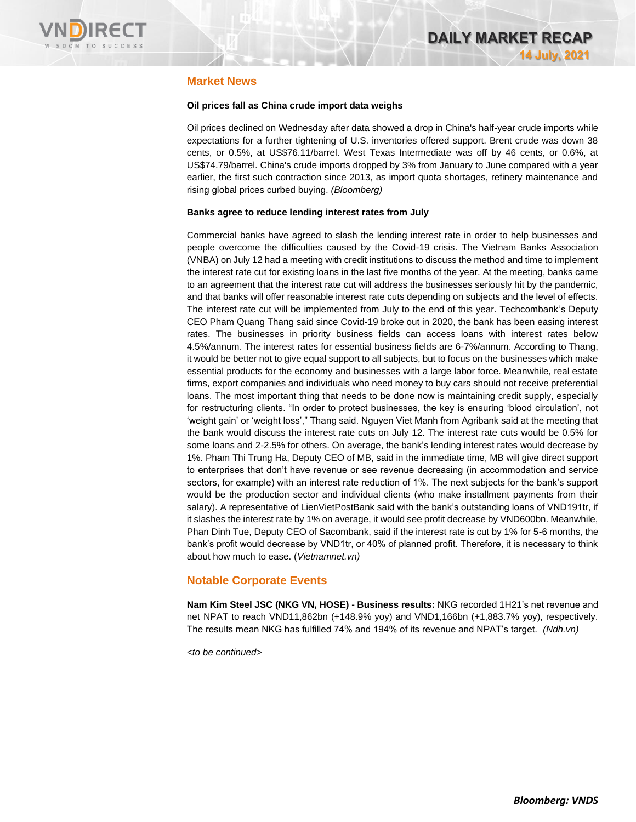

### **Market News**

### **Oil prices fall as China crude import data weighs**

Oil prices declined on Wednesday after data showed a drop in China's half-year crude imports while expectations for a further tightening of U.S. inventories offered support. Brent crude was down 38 cents, or 0.5%, at US\$76.11/barrel. West Texas Intermediate was off by 46 cents, or 0.6%, at US\$74.79/barrel. China's crude imports dropped by 3% from January to June compared with a year earlier, the first such contraction since 2013, as import quota shortages, refinery maintenance and rising global prices curbed buying. *(Bloomberg)*

### **Banks agree to reduce lending interest rates from July**

Commercial banks have agreed to slash the lending interest rate in order to help businesses and people overcome the difficulties caused by the Covid-19 crisis. The Vietnam Banks Association (VNBA) on July 12 had a meeting with credit institutions to discuss the method and time to implement the interest rate cut for existing loans in the last five months of the year. At the meeting, banks came to an agreement that the interest rate cut will address the businesses seriously hit by the pandemic, and that banks will offer reasonable interest rate cuts depending on subjects and the level of effects. The interest rate cut will be implemented from July to the end of this year. Techcombank's Deputy CEO Pham Quang Thang said since Covid-19 broke out in 2020, the bank has been easing interest rates. The businesses in priority business fields can access loans with interest rates below 4.5%/annum. The interest rates for essential business fields are 6-7%/annum. According to Thang, it would be better not to give equal support to all subjects, but to focus on the businesses which make essential products for the economy and businesses with a large labor force. Meanwhile, real estate firms, export companies and individuals who need money to buy cars should not receive preferential loans. The most important thing that needs to be done now is maintaining credit supply, especially for restructuring clients. "In order to protect businesses, the key is ensuring 'blood circulation', not 'weight gain' or 'weight loss'," Thang said. Nguyen Viet Manh from Agribank said at the meeting that the bank would discuss the interest rate cuts on July 12. The interest rate cuts would be 0.5% for some loans and 2-2.5% for others. On average, the bank's lending interest rates would decrease by 1%. Pham Thi Trung Ha, Deputy CEO of MB, said in the immediate time, MB will give direct support to enterprises that don't have revenue or see revenue decreasing (in accommodation and service sectors, for example) with an interest rate reduction of 1%. The next subjects for the bank's support would be the production sector and individual clients (who make installment payments from their salary). A representative of LienVietPostBank said with the bank's outstanding loans of VND191tr, if it slashes the interest rate by 1% on average, it would see profit decrease by VND600bn. Meanwhile, Phan Dinh Tue, Deputy CEO of Sacombank, said if the interest rate is cut by 1% for 5-6 months, the bank's profit would decrease by VND1tr, or 40% of planned profit. Therefore, it is necessary to think about how much to ease. (*Vietnamnet.vn)*

## **Notable Corporate Events**

**Nam Kim Steel JSC (NKG VN, HOSE) - Business results:** NKG recorded 1H21's net revenue and net NPAT to reach VND11,862bn (+148.9% yoy) and VND1,166bn (+1,883.7% yoy), respectively. The results mean NKG has fulfilled 74% and 194% of its revenue and NPAT's target. *(Ndh.vn)*

*<to be continued>*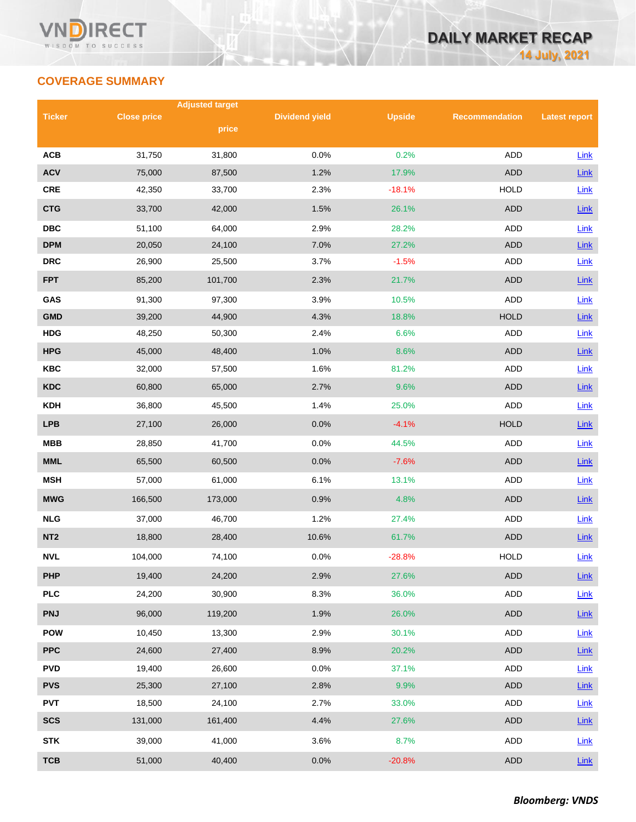## **COVERAGE SUMMARY**

|                 |                    | <b>Adjusted target</b> |                       |               |                       |                      |  |
|-----------------|--------------------|------------------------|-----------------------|---------------|-----------------------|----------------------|--|
| <b>Ticker</b>   | <b>Close price</b> |                        | <b>Dividend yield</b> | <b>Upside</b> | <b>Recommendation</b> | <b>Latest report</b> |  |
|                 |                    | price                  |                       |               |                       |                      |  |
| <b>ACB</b>      | 31,750             | 31,800                 | 0.0%                  | 0.2%          | <b>ADD</b>            | Link                 |  |
| <b>ACV</b>      | 75,000             | 87,500                 | 1.2%                  | 17.9%         | <b>ADD</b>            | Link                 |  |
| <b>CRE</b>      | 42,350             | 33,700                 | 2.3%                  | $-18.1%$      | <b>HOLD</b>           | Link                 |  |
| <b>CTG</b>      | 33,700             | 42,000                 | 1.5%                  | 26.1%         | <b>ADD</b>            | Link                 |  |
| <b>DBC</b>      | 51,100             | 64,000                 | 2.9%                  | 28.2%         | ADD                   | Link                 |  |
| <b>DPM</b>      | 20,050             | 24,100                 | 7.0%                  | 27.2%         | <b>ADD</b>            | Link                 |  |
| <b>DRC</b>      | 26,900             | 25,500                 | 3.7%                  | $-1.5%$       | <b>ADD</b>            | Link                 |  |
| <b>FPT</b>      | 85,200             | 101,700                | 2.3%                  | 21.7%         | <b>ADD</b>            | Link                 |  |
| GAS             | 91,300             | 97,300                 | 3.9%                  | 10.5%         | <b>ADD</b>            | Link                 |  |
| <b>GMD</b>      | 39,200             | 44,900                 | 4.3%                  | 18.8%         | <b>HOLD</b>           | Link                 |  |
| <b>HDG</b>      | 48,250             | 50,300                 | 2.4%                  | 6.6%          | ADD                   | Link                 |  |
| <b>HPG</b>      | 45,000             | 48,400                 | 1.0%                  | 8.6%          | <b>ADD</b>            | Link                 |  |
| <b>KBC</b>      | 32,000             | 57,500                 | 1.6%                  | 81.2%         | ADD                   | Link                 |  |
| <b>KDC</b>      | 60,800             | 65,000                 | 2.7%                  | 9.6%          | <b>ADD</b>            | Link                 |  |
| <b>KDH</b>      | 36,800             | 45,500                 | 1.4%                  | 25.0%         | ADD                   | Link                 |  |
| <b>LPB</b>      | 27,100             | 26,000                 | 0.0%                  | $-4.1%$       | <b>HOLD</b>           | Link                 |  |
| <b>MBB</b>      | 28,850             | 41,700                 | 0.0%                  | 44.5%         | <b>ADD</b>            | Link                 |  |
| <b>MML</b>      | 65,500             | 60,500                 | 0.0%                  | $-7.6%$       | <b>ADD</b>            | Link                 |  |
| <b>MSH</b>      | 57,000             | 61,000                 | 6.1%                  | 13.1%         | ADD                   | Link                 |  |
| <b>MWG</b>      | 166,500            | 173,000                | 0.9%                  | 4.8%          | <b>ADD</b>            | Link                 |  |
| <b>NLG</b>      | 37,000             | 46,700                 | 1.2%                  | 27.4%         | ADD                   | Link                 |  |
| NT <sub>2</sub> | 18,800             | 28,400                 | 10.6%                 | 61.7%         | <b>ADD</b>            | Link                 |  |
| <b>NVL</b>      | 104,000            | 74,100                 | 0.0%                  | $-28.8%$      | <b>HOLD</b>           | Link                 |  |
| <b>PHP</b>      | 19,400             | 24,200                 | 2.9%                  | 27.6%         | ADD                   | $Link$               |  |
| <b>PLC</b>      | 24,200             | 30,900                 | 8.3%                  | 36.0%         | ADD                   | Link                 |  |
| <b>PNJ</b>      | 96,000             | 119,200                | 1.9%                  | 26.0%         | ADD                   | $Link$               |  |
| <b>POW</b>      | 10,450             | 13,300                 | 2.9%                  | 30.1%         | ADD                   | Link                 |  |
| <b>PPC</b>      | 24,600             | 27,400                 | 8.9%                  | 20.2%         | ADD                   | $Link$               |  |
| <b>PVD</b>      | 19,400             | 26,600                 | 0.0%                  | 37.1%         | ADD                   | <b>Link</b>          |  |
| <b>PVS</b>      | 25,300             | 27,100                 | 2.8%                  | 9.9%          | <b>ADD</b>            | $Link$               |  |
| <b>PVT</b>      | 18,500             | 24,100                 | 2.7%                  | 33.0%         | ADD                   | Link                 |  |
| <b>SCS</b>      | 131,000            | 161,400                | 4.4%                  | 27.6%         | ADD                   | $Link$               |  |
| <b>STK</b>      | 39,000             | 41,000                 | 3.6%                  | 8.7%          | ADD                   | Link                 |  |
| <b>TCB</b>      | 51,000             | 40,400                 | 0.0%                  | $-20.8%$      | <b>ADD</b>            | <b>Link</b>          |  |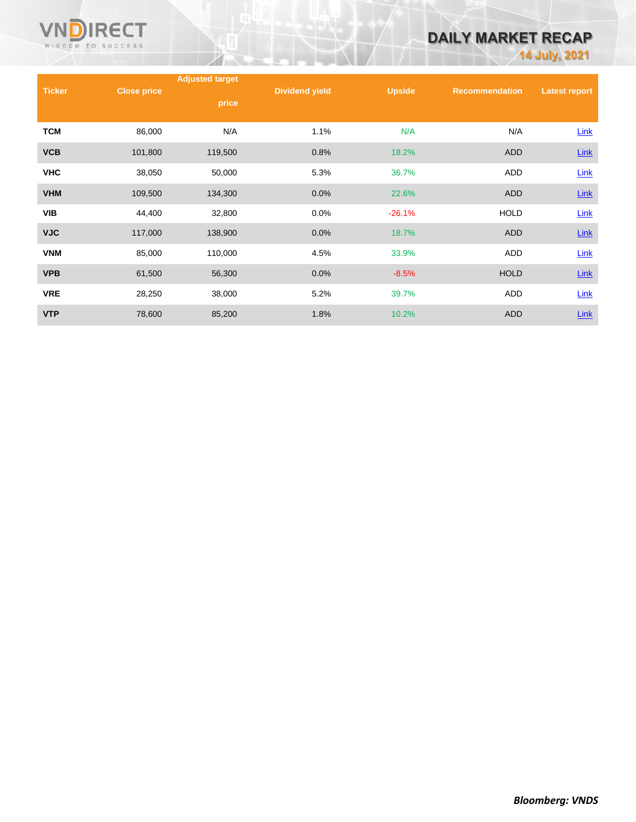

## **DAILY MARKET RECAP**

**14 July, 2021**

|               |                    | <b>Adjusted target</b> |                       |               |                       |                      |
|---------------|--------------------|------------------------|-----------------------|---------------|-----------------------|----------------------|
| <b>Ticker</b> | <b>Close price</b> | price                  | <b>Dividend yield</b> | <b>Upside</b> | <b>Recommendation</b> | <b>Latest report</b> |
|               |                    |                        |                       |               |                       |                      |
| <b>TCM</b>    | 86,000             | N/A                    | 1.1%                  | N/A           | N/A                   | Link                 |
| <b>VCB</b>    | 101,800            | 119,500                | 0.8%                  | 18.2%         | <b>ADD</b>            | $Link$               |
| <b>VHC</b>    | 38,050             | 50,000                 | 5.3%                  | 36.7%         | <b>ADD</b>            | Link                 |
| <b>VHM</b>    | 109,500            | 134,300                | 0.0%                  | 22.6%         | <b>ADD</b>            | <b>Link</b>          |
| <b>VIB</b>    | 44,400             | 32,800                 | 0.0%                  | $-26.1%$      | <b>HOLD</b>           | Link                 |
| <b>VJC</b>    | 117,000            | 138,900                | 0.0%                  | 18.7%         | <b>ADD</b>            | <b>Link</b>          |
| <b>VNM</b>    | 85,000             | 110,000                | 4.5%                  | 33.9%         | ADD                   | Link                 |
| <b>VPB</b>    | 61,500             | 56,300                 | 0.0%                  | $-8.5%$       | <b>HOLD</b>           | $Link$               |
| <b>VRE</b>    | 28,250             | 38,000                 | 5.2%                  | 39.7%         | ADD                   | Link                 |
| <b>VTP</b>    | 78,600             | 85,200                 | 1.8%                  | 10.2%         | <b>ADD</b>            | Link                 |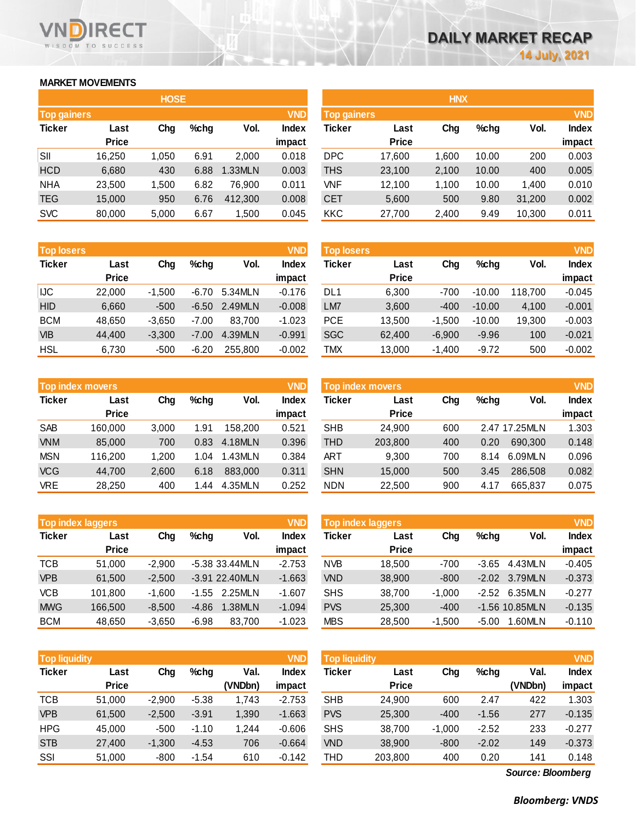## **MARKET MOVEMENTS**

WISDOM TO SUCCESS

**RECT** 

n

|                    | <b>HOSE</b>  |       |         |         |              |  |  |  |  |  |
|--------------------|--------------|-------|---------|---------|--------------|--|--|--|--|--|
| <b>Top gainers</b> |              |       |         |         | <b>VND</b>   |  |  |  |  |  |
| <b>Ticker</b>      | Last         | Chg   | $%$ chg | Vol.    | <b>Index</b> |  |  |  |  |  |
|                    | <b>Price</b> |       |         |         | impact       |  |  |  |  |  |
| SII                | 16,250       | 1,050 | 6.91    | 2,000   | 0.018        |  |  |  |  |  |
| <b>HCD</b>         | 6,680        | 430   | 6.88    | 1.33MLN | 0.003        |  |  |  |  |  |
| <b>NHA</b>         | 23,500       | 1,500 | 6.82    | 76,900  | 0.011        |  |  |  |  |  |
| <b>TEG</b>         | 15,000       | 950   | 6.76    | 412,300 | 0.008        |  |  |  |  |  |
| <b>SVC</b>         | 80,000       | 5,000 | 6.67    | 1,500   | 0.045        |  |  |  |  |  |

| <b>Top losers</b> |              |          |         |         | <b>VND</b>   |
|-------------------|--------------|----------|---------|---------|--------------|
| <b>Ticker</b>     | Last         | Cha      | $%$ chg | Vol.    | <b>Index</b> |
|                   | <b>Price</b> |          |         |         | impact       |
| IJC               | 22,000       | $-1,500$ | $-6.70$ | 5.34MLN | $-0.176$     |
| <b>HID</b>        | 6,660        | $-500$   | $-6.50$ | 2.49MLN | $-0.008$     |
| <b>BCM</b>        | 48,650       | $-3,650$ | $-7.00$ | 83.700  | $-1.023$     |
| <b>VIB</b>        | 44,400       | $-3,300$ | $-7.00$ | 4.39MLN | $-0.991$     |
| <b>HSL</b>        | 6,730        | $-500$   | $-6.20$ | 255.800 | $-0.002$     |

| <b>VND</b><br><b>Top index movers</b> |              |       |         |         |              |  |  |  |  |
|---------------------------------------|--------------|-------|---------|---------|--------------|--|--|--|--|
| <b>Ticker</b>                         | Last         | Cha   | $%$ chg | Vol.    | <b>Index</b> |  |  |  |  |
|                                       | <b>Price</b> |       |         |         | impact       |  |  |  |  |
| <b>SAB</b>                            | 160,000      | 3,000 | 1.91    | 158,200 | 0.521        |  |  |  |  |
| <b>VNM</b>                            | 85,000       | 700   | 0.83    | 4.18MLN | 0.396        |  |  |  |  |
| <b>MSN</b>                            | 116,200      | 1,200 | 1.04    | 1.43MLN | 0.384        |  |  |  |  |
| <b>VCG</b>                            | 44,700       | 2,600 | 6.18    | 883,000 | 0.311        |  |  |  |  |
| <b>VRE</b>                            | 28,250       | 400   | 1.44    | 4.35MLN | 0.252        |  |  |  |  |

| <b>Top index laggers</b> | <b>VND</b>   |          |         |                |              |
|--------------------------|--------------|----------|---------|----------------|--------------|
| <b>Ticker</b>            | Last         | Cha      | $%$ chg | Vol.           | <b>Index</b> |
|                          | <b>Price</b> |          |         |                | impact       |
| <b>TCB</b>               | 51,000       | $-2,900$ |         | -5.38 33.44MLN | $-2.753$     |
| <b>VPB</b>               | 61,500       | $-2,500$ |         | -3.91 22.40MLN | $-1.663$     |
| <b>VCB</b>               | 101,800      | $-1,600$ | $-1.55$ | 2.25MLN        | $-1.607$     |
| <b>MWG</b>               | 166,500      | $-8,500$ | $-4.86$ | 1.38MLN        | $-1.094$     |
| <b>BCM</b>               | 48,650       | $-3,650$ | $-6.98$ | 83,700         | $-1.023$     |

| <b>VND</b><br><b>Top liquidity</b> |              |          |         |         |              |  |  |  |  |
|------------------------------------|--------------|----------|---------|---------|--------------|--|--|--|--|
| <b>Ticker</b>                      | Last         | Cha      | $%$ chg | Val.    | <b>Index</b> |  |  |  |  |
|                                    | <b>Price</b> |          |         | (VNDbn) | impact       |  |  |  |  |
| <b>TCB</b>                         | 51,000       | $-2,900$ | $-5.38$ | 1,743   | $-2.753$     |  |  |  |  |
| <b>VPB</b>                         | 61,500       | $-2,500$ | $-3.91$ | 1,390   | $-1.663$     |  |  |  |  |
| <b>HPG</b>                         | 45,000       | $-500$   | $-1.10$ | 1,244   | $-0.606$     |  |  |  |  |
| <b>STB</b>                         | 27,400       | $-1,300$ | $-4.53$ | 706     | $-0.664$     |  |  |  |  |
| SSI                                | 51,000       | $-800$   | $-1.54$ | 610     | $-0.142$     |  |  |  |  |

|                    |              | <b>HOSE</b> |         |         |              |                    |              | <b>HNX</b> |         |        |              |
|--------------------|--------------|-------------|---------|---------|--------------|--------------------|--------------|------------|---------|--------|--------------|
| <b>Top gainers</b> |              |             |         |         | <b>VND</b>   | <b>Top gainers</b> |              |            |         |        | <b>VND</b>   |
| Ticker             | Last         | Chg         | $%$ chg | Vol.    | <b>Index</b> | Ticker             | Last         | Chg        | $%$ chg | Vol.   | <b>Index</b> |
|                    | <b>Price</b> |             |         |         | impact       |                    | <b>Price</b> |            |         |        | impact       |
| SII                | 16.250       | 1,050       | 6.91    | 2,000   | 0.018        | <b>DPC</b>         | 17,600       | 1,600      | 10.00   | 200    | 0.003        |
| <b>HCD</b>         | 6,680        | 430         | 6.88    | 1.33MLN | 0.003        | THS                | 23,100       | 2,100      | 10.00   | 400    | 0.005        |
| <b>NHA</b>         | 23,500       | 1.500       | 6.82    | 76.900  | 0.011        | VNF                | 12,100       | 1,100      | 10.00   | 1,400  | 0.010        |
| <b>TEG</b>         | 15,000       | 950         | 6.76    | 412,300 | 0.008        | <b>CET</b>         | 5,600        | 500        | 9.80    | 31,200 | 0.002        |
| <b>SVC</b>         | 80,000       | 5,000       | 6.67    | 1,500   | 0.045        | <b>KKC</b>         | 27,700       | 2,400      | 9.49    | 10,300 | 0.011        |
|                    |              |             |         |         |              |                    |              |            |         |        |              |

| <b>Top losers</b> |              |          |         |         | <b>VND</b>   | <b>Top losers</b> |              |          |          |         | <b>VND</b>   |
|-------------------|--------------|----------|---------|---------|--------------|-------------------|--------------|----------|----------|---------|--------------|
| Ticker            | Last         | Chg      | $%$ chg | Vol.    | <b>Index</b> | Ticker            | Last         | Chg      | $%$ chg  | Vol.    | <b>Index</b> |
|                   | <b>Price</b> |          |         |         | impact       |                   | <b>Price</b> |          |          |         | impact       |
| IJC.              | 22,000       | $-1.500$ | $-6.70$ | 5.34MLN | $-0.176$     | DL <sub>1</sub>   | 6,300        | $-700$   | $-10.00$ | 118.700 | $-0.045$     |
| HID               | 6,660        | $-500$   | $-6.50$ | 2.49MLN | $-0.008$     | LM7               | 3,600        | $-400$   | $-10.00$ | 4.100   | $-0.001$     |
| <b>BCM</b>        | 48.650       | $-3.650$ | $-7.00$ | 83.700  | $-1.023$     | <b>PCE</b>        | 13.500       | $-1.500$ | $-10.00$ | 19,300  | $-0.003$     |
| <b>VIB</b>        | 44.400       | $-3,300$ | $-7.00$ | 4.39MLN | $-0.991$     | <b>SGC</b>        | 62,400       | $-6,900$ | $-9.96$  | 100     | $-0.021$     |
| HSL               | 6,730        | $-500$   | $-6.20$ | 255,800 | $-0.002$     | TMX               | 13,000       | $-1,400$ | $-9.72$  | 500     | $-0.002$     |

|            |                         |       |         |         |            |                         |              |     |         |               | <b>VND</b>   |  |
|------------|-------------------------|-------|---------|---------|------------|-------------------------|--------------|-----|---------|---------------|--------------|--|
|            | <b>Top index movers</b> |       |         |         | <b>VND</b> | <b>Top index movers</b> |              |     |         |               |              |  |
| Ticker     | Last                    | Chg   | $%$ chg | Vol.    | Index      | Ticker                  | Last         | Chg | $%$ chg | Vol.          | <b>Index</b> |  |
|            | <b>Price</b>            |       |         |         | impact     |                         | <b>Price</b> |     |         |               | impact       |  |
| <b>SAB</b> | 160,000                 | 3.000 | 1.91    | 158,200 | 0.521      | <b>SHB</b>              | 24.900       | 600 |         | 2.47 17.25MLN | 1.303        |  |
| <b>VNM</b> | 85,000                  | 700   | 0.83    | 4.18MLN | 0.396      | THD                     | 203,800      | 400 | 0.20    | 690.300       | 0.148        |  |
| MSN        | 116,200                 | 1.200 | 1.04    | 1.43MLN | 0.384      | <b>ART</b>              | 9.300        | 700 | 8.14    | 6.09MLN       | 0.096        |  |
| <b>VCG</b> | 44.700                  | 2,600 | 6.18    | 883,000 | 0.311      | <b>SHN</b>              | 15,000       | 500 | 3.45    | 286,508       | 0.082        |  |
| VRE        | 28,250                  | 400   | 1.44    | 4.35MLN | 0.252      | <b>NDN</b>              | 22,500       | 900 | 4.17    | 665,837       | 0.075        |  |
|            |                         |       |         |         |            |                         |              |     |         |               |              |  |

| Top index laggers |              |          |         |                  | <b>VND</b>   | Top index laggers |              |          |         |                  |              |
|-------------------|--------------|----------|---------|------------------|--------------|-------------------|--------------|----------|---------|------------------|--------------|
| Ticker            | Last         | Chg      | $%$ chg | Vol.             | <b>Index</b> | Ticker            | Last         | Chg      | $%$ chg | Vol.             | <b>Index</b> |
|                   | <b>Price</b> |          |         |                  | impact       |                   | <b>Price</b> |          |         |                  | impact       |
| TCB               | 51.000       | $-2.900$ |         | -5.38 33.44MLN   | $-2.753$     | <b>NVB</b>        | 18.500       | -700     | $-3.65$ | 4.43MLN          | $-0.405$     |
| <b>VPB</b>        | 61,500       | $-2.500$ |         | $-3.91$ 22.40MLN | $-1.663$     | <b>VND</b>        | 38,900       | $-800$   | $-2.02$ | 3.79MLN          | $-0.373$     |
| <b>VCB</b>        | 101.800      | $-1.600$ | $-1.55$ | 2.25MLN          | $-1.607$     | <b>SHS</b>        | 38,700       | $-1.000$ | $-2.52$ | 6.35MLN          | $-0.277$     |
| <b>MWG</b>        | 166.500      | $-8.500$ | $-4.86$ | 1.38MLN          | $-1.094$     | <b>PVS</b>        | 25,300       | $-400$   |         | $-1.56$ 10.85MLN | $-0.135$     |
| <b>BCM</b>        | 48.650       | $-3,650$ | $-6.98$ | 83,700           | $-1.023$     | <b>MBS</b>        | 28,500       | $-1.500$ | $-5.00$ | .60MLN           | $-0.110$     |
|                   |              |          |         |                  |              |                   |              |          |         |                  |              |

| <b>Top liquidity</b> |              |          |         |         | <b>VND</b>   | <b>Top liquidity</b> |              |          |         |         | <b>VND</b>   |
|----------------------|--------------|----------|---------|---------|--------------|----------------------|--------------|----------|---------|---------|--------------|
| Ticker               | Last         | Chg      | $%$ chg | Val.    | <b>Index</b> | Ticker               | Last         | Chg      | $%$ chg | Val.    | <b>Index</b> |
|                      | <b>Price</b> |          |         | (VNDbn) | impact       |                      | <b>Price</b> |          |         | (VNDbn) | impact       |
| TCB                  | 51.000       | $-2,900$ | $-5.38$ | 1.743   | $-2.753$     | <b>SHB</b>           | 24,900       | 600      | 2.47    | 422     | 1.303        |
| <b>VPB</b>           | 61,500       | $-2,500$ | $-3.91$ | 1,390   | $-1.663$     | <b>PVS</b>           | 25,300       | $-400$   | $-1.56$ | 277     | $-0.135$     |
| <b>HPG</b>           | 45.000       | $-500$   | $-1.10$ | 1,244   | $-0.606$     | <b>SHS</b>           | 38.700       | $-1.000$ | $-2.52$ | 233     | $-0.277$     |
| <b>STB</b>           | 27,400       | $-1,300$ | $-4.53$ | 706     | $-0.664$     | <b>VND</b>           | 38,900       | $-800$   | $-2.02$ | 149     | $-0.373$     |
| SSI                  | 51,000       | $-800$   | $-1.54$ | 610     | $-0.142$     | THD                  | 203,800      | 400      | 0.20    | 141     | 0.148        |
|                      |              |          |         |         |              |                      |              |          |         |         |              |

*Source: Bloomberg*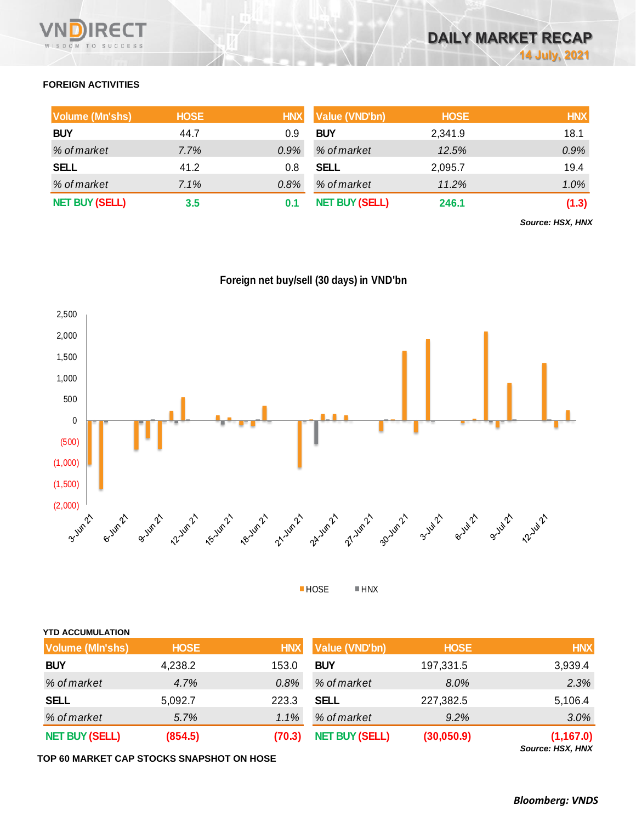## **FOREIGN ACTIVITIES**

| <b>Volume (Mn'shs)</b> | <b>HOSE</b> | <b>HNX</b> | <b>Value (VND'bn)</b> | <b>HOSE</b> | <b>HNX</b> |
|------------------------|-------------|------------|-----------------------|-------------|------------|
| <b>BUY</b>             | 44.7        | 0.9        | <b>BUY</b>            | 2,341.9     | 18.1       |
| % of market            | $7.7\%$     | $0.9\%$    | % of market           | 12.5%       | 0.9%       |
| <b>SELL</b>            | 41.2        | 0.8        | <b>SELL</b>           | 2,095.7     | 19.4       |
| % of market            | 7.1%        | $0.8\%$    | % of market           | 11.2%       | 1.0%       |
| <b>NET BUY (SELL)</b>  | $3.5\,$     | 0.1        | <b>NET BUY (SELL)</b> | 246.1       | (1.3)      |

*Source: HSX, HNX*

## **Foreign net buy/sell (30 days) in VND'bn**



HOSE HNX

| <b>YTD ACCUMULATION</b> |             |            |                       |             |            |
|-------------------------|-------------|------------|-----------------------|-------------|------------|
| <b>Volume (MIn'shs)</b> | <b>HOSE</b> | <b>HNX</b> | <b>Value (VND'bn)</b> | <b>HOSE</b> | <b>HNX</b> |
| <b>BUY</b>              | 4,238.2     | 153.0      | <b>BUY</b>            | 197,331.5   | 3,939.4    |
| % of market             | 4.7%        | 0.8%       | % of market           | 8.0%        | 2.3%       |
| <b>SELL</b>             | 5,092.7     | 223.3      | <b>SELL</b>           | 227,382.5   | 5,106.4    |
| % of market             | 5.7%        | $1.1\%$    | % of market           | 9.2%        | $3.0\%$    |
| <b>NET BUY (SELL)</b>   | (854.5)     | (70.3)     | <b>NET BUY (SELL)</b> | (30,050.9)  | (1, 167.0) |

**TOP 60 MARKET CAP STOCKS SNAPSHOT ON HOSE**

*Source: HSX, HNX*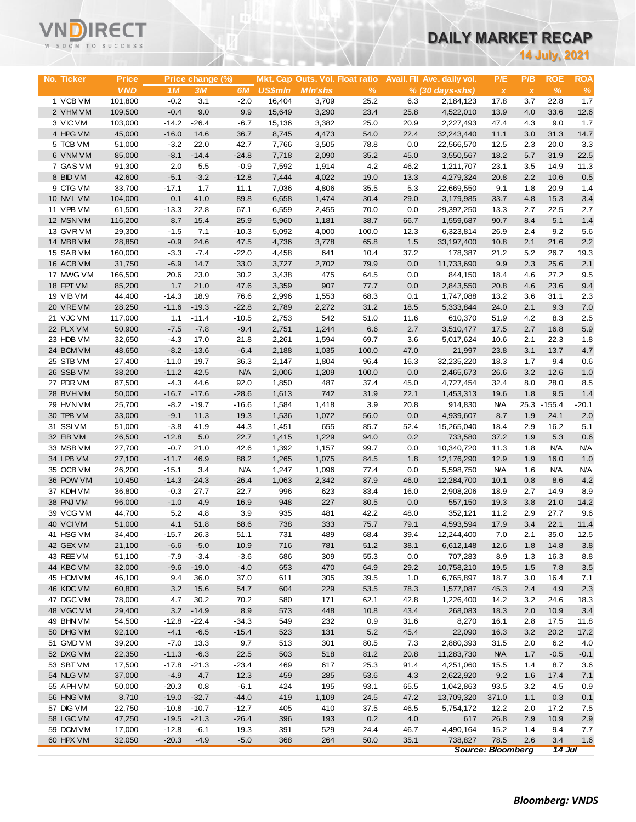| <b>VNDIRECT</b>   |  |  |  |  |  |  |  |  |
|-------------------|--|--|--|--|--|--|--|--|
| WISDOM TO SUCCESS |  |  |  |  |  |  |  |  |

# **DAILY MARKET RECAP**

| WISDOM TO SUCCESS      |                   |                    |                  |                   |                 |                                 |              |              | DAILT MARRET RECAP         |                          |              |                      |             |
|------------------------|-------------------|--------------------|------------------|-------------------|-----------------|---------------------------------|--------------|--------------|----------------------------|--------------------------|--------------|----------------------|-------------|
|                        |                   |                    |                  |                   |                 |                                 |              |              |                            |                          |              | <b>14 July, 2021</b> |             |
|                        |                   |                    |                  |                   |                 |                                 |              |              |                            |                          |              |                      |             |
| No. Ticker             | <b>Price</b>      |                    | Price change (%) |                   |                 | Mkt. Cap Outs. Vol. Float ratio |              |              | Avail. Fil Ave. daily vol. | P/E                      | P/B          | <b>ROE</b>           | <b>ROA</b>  |
|                        | <b>VND</b>        | 1M                 | 3M               | 6M                | <b>US\$mln</b>  | <b>MIn'shs</b>                  | %            |              | $% (30 \, days - shs)$     | $\pmb{\chi}$             | $\pmb{\chi}$ | $\%$                 | $\%$        |
| 1 VCB VM               | 101,800           | $-0.2$             | 3.1              | $-2.0$            | 16,404          | 3,709                           | 25.2         | 6.3          | 2,184,123                  | 17.8                     | 3.7          | 22.8                 | 1.7         |
| 2 VHM VM               | 109,500           | $-0.4$             | 9.0              | 9.9               | 15,649          | 3,290                           | 23.4         | 25.8         | 4,522,010                  | 13.9                     | 4.0          | 33.6                 | 12.6        |
| 3 VIC VM<br>4 HPG VM   | 103,000<br>45,000 | $-14.2$<br>$-16.0$ | $-26.4$<br>14.6  | $-6.7$<br>36.7    | 15,136<br>8,745 | 3,382<br>4,473                  | 25.0<br>54.0 | 20.9<br>22.4 | 2,227,493<br>32,243,440    | 47.4<br>11.1             | 4.3<br>3.0   | 9.0<br>31.3          | 1.7<br>14.7 |
| 5 TCB VM               | 51,000            | $-3.2$             | 22.0             | 42.7              | 7,766           | 3,505                           | 78.8         | 0.0          | 22,566,570                 | 12.5                     | 2.3          | 20.0                 | 3.3         |
| 6 VNM VM               | 85,000            | $-8.1$             | $-14.4$          | $-24.8$           | 7,718           | 2,090                           | 35.2         | 45.0         | 3,550,567                  | 18.2                     | 5.7          | 31.9                 | 22.5        |
| 7 GAS VM               | 91,300            | 2.0                | 5.5              | $-0.9$            | 7,592           | 1,914                           | 4.2          | 46.2         | 1,211,707                  | 23.1                     | 3.5          | 14.9                 | 11.3        |
| 8 BID VM               | 42,600            | $-5.1$             | $-3.2$           | $-12.8$           | 7,444           | 4,022                           | 19.0         | 13.3         | 4,279,324                  | 20.8                     | 2.2          | 10.6                 | 0.5         |
| 9 CTG VM               | 33,700            | $-17.1$            | 1.7              | 11.1              | 7,036           | 4,806                           | 35.5         | 5.3          | 22,669,550                 | 9.1                      | 1.8          | 20.9                 | 1.4         |
| 10 NVL VM              | 104,000           | 0.1                | 41.0             | 89.8              | 6,658           | 1,474                           | 30.4         | 29.0         | 3,179,985                  | 33.7                     | 4.8          | 15.3                 | 3.4         |
| 11 VPB VM              | 61,500            | $-13.3$            | 22.8             | 67.1              | 6,559           | 2,455                           | 70.0         | 0.0          | 29,397,250                 | 13.3                     | 2.7          | 22.5                 | 2.7         |
| 12 MSN VM              | 116,200           | 8.7                | 15.4             | 25.9              | 5,960           | 1,181                           | 38.7         | 66.7         | 1,559,687                  | 90.7                     | 8.4          | 5.1                  | 1.4         |
| 13 GVR VM              | 29,300            | $-1.5$             | 7.1              | $-10.3$           | 5,092           | 4,000                           | 100.0        | 12.3         | 6,323,814                  | 26.9                     | 2.4          | 9.2                  | 5.6         |
| 14 MBB VM              | 28,850            | $-0.9$             | 24.6             | 47.5              | 4,736           | 3,778                           | 65.8         | 1.5          | 33,197,400                 | 10.8                     | 2.1          | 21.6                 | 2.2         |
| 15 SAB VM              | 160,000           | $-3.3$             | $-7.4$           | $-22.0$           | 4,458           | 641                             | 10.4         | 37.2         | 178,387                    | 21.2                     | 5.2          | 26.7                 | 19.3        |
| 16 ACB VM              | 31,750            | $-6.9$             | 14.7             | 33.0              | 3,727           | 2,702                           | 79.9         | 0.0          | 11,733,690                 | 9.9                      | 2.3<br>4.6   | 25.6<br>27.2         | 2.1<br>9.5  |
| 17 MWG VM<br>18 FPT VM | 166,500<br>85,200 | 20.6<br>1.7        | 23.0<br>21.0     | 30.2<br>47.6      | 3,438<br>3,359  | 475<br>907                      | 64.5<br>77.7 | 0.0<br>0.0   | 844,150<br>2,843,550       | 18.4<br>20.8             | 4.6          | 23.6                 | 9.4         |
| <b>19 VIB VM</b>       | 44,400            | $-14.3$            | 18.9             | 76.6              | 2,996           | 1,553                           | 68.3         | 0.1          | 1,747,088                  | 13.2                     | 3.6          | 31.1                 | 2.3         |
| 20 VRE VM              | 28,250            | $-11.6$            | $-19.3$          | $-22.8$           | 2,789           | 2,272                           | 31.2         | 18.5         | 5,333,844                  | 24.0                     | 2.1          | 9.3                  | 7.0         |
| 21 VJC VM              | 117,000           | 1.1                | $-11.4$          | $-10.5$           | 2,753           | 542                             | 51.0         | 11.6         | 610,370                    | 51.9                     | 4.2          | 8.3                  | 2.5         |
| 22 PLX VM              | 50,900            | $-7.5$             | $-7.8$           | $-9.4$            | 2,751           | 1,244                           | 6.6          | 2.7          | 3,510,477                  | 17.5                     | 2.7          | 16.8                 | 5.9         |
| 23 HDB VM              | 32,650            | $-4.3$             | 17.0             | 21.8              | 2,261           | 1,594                           | 69.7         | 3.6          | 5,017,624                  | 10.6                     | 2.1          | 22.3                 | 1.8         |
| 24 BCM VM              | 48,650            | $-8.2$             | $-13.6$          | $-6.4$            | 2,188           | 1,035                           | 100.0        | 47.0         | 21,997                     | 23.8                     | 3.1          | 13.7                 | 4.7         |
| 25 STB VM              | 27,400            | $-11.0$            | 19.7             | 36.3              | 2,147           | 1,804                           | 96.4         | 16.3         | 32,235,220                 | 18.3                     | 1.7          | 9.4                  | 0.6         |
| 26 SSB VM              | 38,200            | $-11.2$            | 42.5             | <b>N/A</b>        | 2,006           | 1,209                           | 100.0        | 0.0          | 2,465,673                  | 26.6                     | 3.2          | 12.6                 | 1.0         |
| 27 PDR VM              | 87,500            | $-4.3$             | 44.6             | 92.0              | 1,850           | 487                             | 37.4         | 45.0         | 4,727,454                  | 32.4                     | 8.0          | 28.0                 | 8.5         |
| 28 BVHVM               | 50,000            | $-16.7$            | $-17.6$          | $-28.6$           | 1,613           | 742                             | 31.9         | 22.1         | 1,453,313                  | 19.6                     | 1.8          | 9.5                  | 1.4         |
| 29 HVN VM              | 25,700            | $-8.2$             | $-19.7$          | $-16.6$           | 1,584           | 1,418                           | 3.9          | 20.8         | 914,830                    | <b>N/A</b>               |              | 25.3 - 155.4         | $-20.1$     |
| 30 TPB VM<br>31 SSIVM  | 33,000<br>51,000  | $-9.1$<br>$-3.8$   | 11.3<br>41.9     | 19.3<br>44.3      | 1,536           | 1,072<br>655                    | 56.0<br>85.7 | 0.0<br>52.4  | 4,939,607<br>15,265,040    | 8.7<br>18.4              | 1.9<br>2.9   | 24.1<br>16.2         | 2.0<br>5.1  |
| 32 EIB VM              | 26,500            | $-12.8$            | 5.0              | 22.7              | 1,451<br>1,415  | 1,229                           | 94.0         | 0.2          | 733,580                    | 37.2                     | 1.9          | 5.3                  | 0.6         |
| 33 MSB VM              | 27,700            | $-0.7$             | 21.0             | 42.6              | 1,392           | 1,157                           | 99.7         | 0.0          | 10,340,720                 | 11.3                     | 1.8          | <b>N/A</b>           | <b>N/A</b>  |
| 34 LPB VM              | 27,100            | $-11.7$            | 46.9             | 88.2              | 1,265           | 1,075                           | 84.5         | 1.8          | 12,176,290                 | 12.9                     | 1.9          | 16.0                 | 1.0         |
| 35 OCB VM              | 26,200            | $-15.1$            | 3.4              | <b>N/A</b>        | 1,247           | 1,096                           | 77.4         | 0.0          | 5,598,750                  | <b>N/A</b>               | 1.6          | <b>N/A</b>           | <b>N/A</b>  |
| 36 POW VM              | 10,450            | $-14.3$            | $-24.3$          | $-26.4$           | 1,063           | 2,342                           | 87.9         | 46.0         | 12,284,700                 | 10.1                     | 0.8          | 8.6                  | 4.2         |
| 37 KDH VM              | 36,800            | $-0.3$             | 27.7             | 22.7              | 996             | 623                             | 83.4         | 16.0         | 2,908,206                  | 18.9                     | 2.7          | 14.9                 | 8.9         |
| 38 PNJ VM              | 96,000            | $-1.0$             | 4.9              | 16.9              | 948             | 227                             | $80.5\,$     | 0.0          | 557,150                    | 19.3                     | 3.8          | 21.0                 | 14.2        |
| 39 VCG VM              | 44,700            | 5.2                | 4.8              | 3.9               | 935             | 481                             | 42.2         | 48.0         | 352,121                    | 11.2                     | 2.9          | 27.7                 | 9.6         |
| 40 VCIVM               | 51,000            | 4.1                | 51.8             | 68.6              | 738             | 333                             | 75.7         | 79.1         | 4,593,594                  | 17.9                     | 3.4          | 22.1                 | 11.4        |
| 41 HSG VM              | 34,400            | $-15.7$            | 26.3             | 51.1              | 731             | 489                             | 68.4         | 39.4         | 12,244,400                 | 7.0                      | 2.1          | 35.0                 | 12.5        |
| 42 GEX VM<br>43 REE VM | 21,100<br>51,100  | $-6.6$<br>$-7.9$   | $-5.0$<br>$-3.4$ | 10.9<br>$-3.6$    | 716<br>686      | 781<br>309                      | 51.2<br>55.3 | 38.1<br>0.0  | 6,612,148<br>707,283       | 12.6<br>8.9              | 1.8<br>1.3   | 14.8<br>16.3         | 3.8<br>8.8  |
| 44 KBC VM              | 32,000            | $-9.6$             | $-19.0$          | $-4.0$            | 653             | 470                             | 64.9         | 29.2         | 10,758,210                 | 19.5                     | 1.5          | 7.8                  | $3.5\,$     |
| 45 HCM VM              | 46,100            | 9.4                | 36.0             | 37.0              | 611             | 305                             | 39.5         | 1.0          | 6,765,897                  | 18.7                     | 3.0          | 16.4                 | 7.1         |
| 46 KDC VM              | 60,800            | 3.2                | 15.6             | 54.7              | 604             | 229                             | 53.5         | 78.3         | 1,577,087                  | 45.3                     | 2.4          | 4.9                  | 2.3         |
| 47 DGC VM              | 78,000            | 4.7                | 30.2             | 70.2              | 580             | 171                             | 62.1         | 42.8         | 1,226,400                  | 14.2                     | 3.2          | 24.6                 | 18.3        |
| 48 VGC VM              | 29,400            | 3.2                | $-14.9$          | 8.9               | 573             | 448                             | 10.8         | 43.4         | 268,083                    | 18.3                     | 2.0          | 10.9                 | $3.4$       |
| 49 BHN VM              | 54,500            | $-12.8$            | $-22.4$          | $-34.3$           | 549             | 232                             | 0.9          | 31.6         | 8,270                      | 16.1                     | 2.8          | 17.5                 | 11.8        |
| 50 DHG VM              | 92,100            | $-4.1$             | $-6.5$           | $-15.4$           | 523             | 131                             | 5.2          | 45.4         | 22,090                     | 16.3                     | 3.2          | 20.2                 | 17.2        |
| 51 GMD VM              | 39,200            | $-7.0$             | 13.3             | 9.7               | 513             | 301                             | 80.5         | 7.3          | 2,880,393                  | 31.5                     | 2.0          | 6.2                  | 4.0         |
| 52 DXG VM              | 22,350            | $-11.3$            | $-6.3$           | 22.5              | 503             | 518                             | 81.2         | 20.8         | 11,283,730                 | <b>N/A</b>               | $1.7$        | $-0.5$               | $-0.1$      |
| 53 SBT VM              | 17,500            | $-17.8$            | $-21.3$          | $-23.4$           | 469             | 617                             | 25.3         | 91.4         | 4,251,060                  | 15.5                     | 1.4          | 8.7                  | 3.6         |
| 54 NLG VM              | 37,000            | $-4.9$             | 4.7              | 12.3              | 459             | 285                             | 53.6         | 4.3          | 2,622,920                  | 9.2                      | 1.6          | 17.4                 | 7.1         |
| 55 APH VM<br>56 HNG VM | 50,000<br>8,710   | $-20.3$<br>$-19.0$ | 0.8<br>$-32.7$   | $-6.1$<br>$-44.0$ | 424<br>419      | 195<br>1,109                    | 93.1<br>24.5 | 65.5<br>47.2 | 1,042,863<br>13,709,320    | 93.5<br>371.0            | 3.2<br>1.1   | 4.5<br>0.3           | 0.9<br>0.1  |
| 57 DIG VM              | 22,750            | $-10.8$            | $-10.7$          | $-12.7$           | 405             | 410                             | 37.5         | 46.5         | 5,754,172                  | 12.2                     | 2.0          | 17.2                 | 7.5         |
| 58 LGC VM              | 47,250            | $-19.5$            | $-21.3$          | $-26.4$           | 396             | 193                             | 0.2          | 4.0          | 617                        | 26.8                     | 2.9          | 10.9                 | 2.9         |
| 59 DCM VM              | 17,000            | $-12.8$            | $-6.1$           | 19.3              | 391             | 529                             | 24.4         | 46.7         | 4,490,164                  | 15.2                     | 1.4          | 9.4                  | 7.7         |
| 60 HPX VM              | 32,050            | $-20.3$            | $-4.9$           | $-5.0$            | 368             | 264                             | 50.0         | 35.1         | 738,827                    | 78.5                     | 2.6          | 3.4                  | 1.6         |
|                        |                   |                    |                  |                   |                 |                                 |              |              |                            | <b>Source: Bloomberg</b> |              | $14$ Jul             |             |